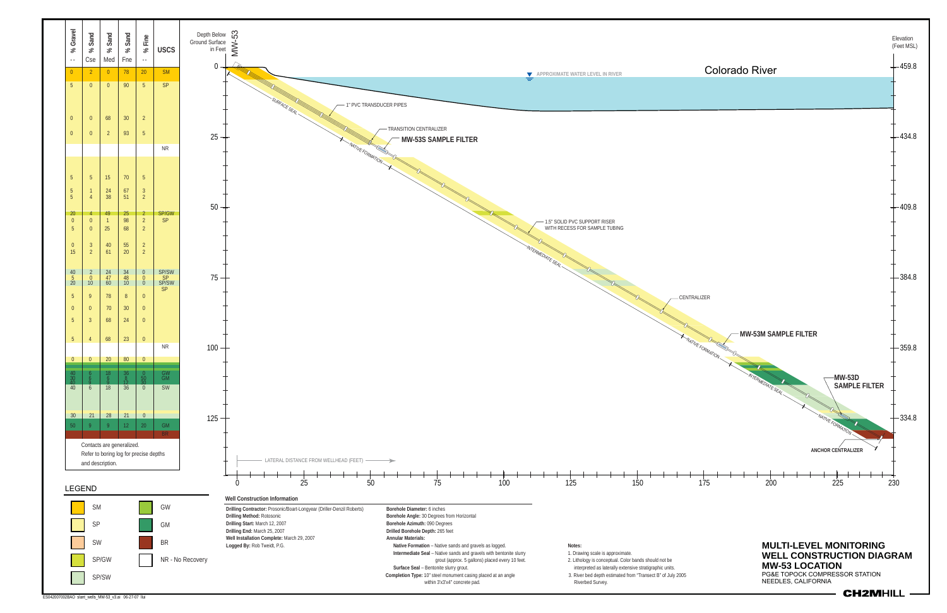

ES042007002BAO slant\_wells\_MW-53\_v3.ai 06-27-07 llui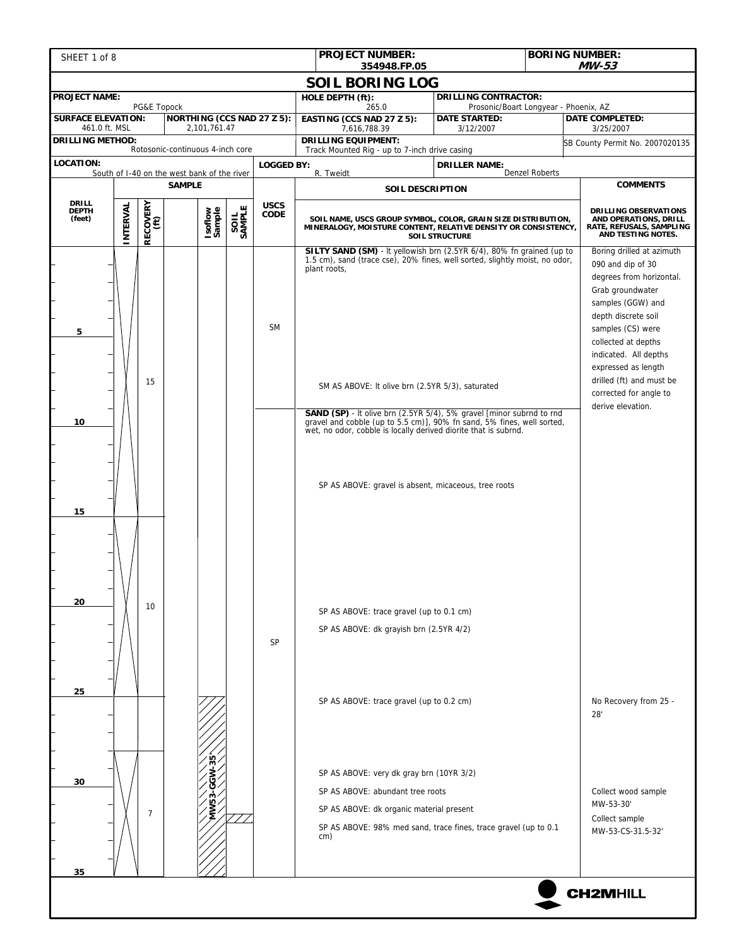| SHEET 1 of 8                                                 |          |                                                                                   |                                  |                   |        |                            | <b>BORING NUMBER:</b><br><b>PROJECT NUMBER:</b><br><b>MW-53</b><br>354948.FP.05                                                                                                                                                                                                                                                                                                                                                                                                                                                                                                                                                                                                                                   |                                                                                                                                                                                             |                |                                                                                                                                                                                                                                                                                                                                                                                                                              |  |
|--------------------------------------------------------------|----------|-----------------------------------------------------------------------------------|----------------------------------|-------------------|--------|----------------------------|-------------------------------------------------------------------------------------------------------------------------------------------------------------------------------------------------------------------------------------------------------------------------------------------------------------------------------------------------------------------------------------------------------------------------------------------------------------------------------------------------------------------------------------------------------------------------------------------------------------------------------------------------------------------------------------------------------------------|---------------------------------------------------------------------------------------------------------------------------------------------------------------------------------------------|----------------|------------------------------------------------------------------------------------------------------------------------------------------------------------------------------------------------------------------------------------------------------------------------------------------------------------------------------------------------------------------------------------------------------------------------------|--|
|                                                              |          |                                                                                   |                                  |                   |        |                            | <b>SOIL BORING LOG</b>                                                                                                                                                                                                                                                                                                                                                                                                                                                                                                                                                                                                                                                                                            |                                                                                                                                                                                             |                |                                                                                                                                                                                                                                                                                                                                                                                                                              |  |
| <b>PROJECT NAME:</b>                                         |          | PG&E Topock                                                                       |                                  |                   |        |                            | HOLE DEPTH (ft):<br>265.0                                                                                                                                                                                                                                                                                                                                                                                                                                                                                                                                                                                                                                                                                         | <b>DRILLING CONTRACTOR:</b><br>Prosonic/Boart Longyear - Phoenix, AZ                                                                                                                        |                |                                                                                                                                                                                                                                                                                                                                                                                                                              |  |
| <b>SURFACE ELEVATION:</b><br>461.0 ft. MSL                   |          |                                                                                   |                                  | 2,101,761.47      |        | NORTHING (CCS NAD 27 Z 5): | EASTING (CCS NAD 27 Z 5):<br>7,616,788.39                                                                                                                                                                                                                                                                                                                                                                                                                                                                                                                                                                                                                                                                         | <b>DATE COMPLETED:</b><br><b>DATE STARTED:</b><br>3/12/2007                                                                                                                                 |                | 3/25/2007                                                                                                                                                                                                                                                                                                                                                                                                                    |  |
| <b>DRILLING METHOD:</b>                                      |          |                                                                                   | Rotosonic-continuous 4-inch core |                   |        |                            | <b>DRILLING EQUIPMENT:</b>                                                                                                                                                                                                                                                                                                                                                                                                                                                                                                                                                                                                                                                                                        |                                                                                                                                                                                             |                | SB County Permit No. 2007020135                                                                                                                                                                                                                                                                                                                                                                                              |  |
| LOCATION:                                                    |          |                                                                                   |                                  |                   |        | <b>LOGGED BY:</b>          | Track Mounted Rig - up to 7-inch drive casing                                                                                                                                                                                                                                                                                                                                                                                                                                                                                                                                                                                                                                                                     | <b>DRILLER NAME:</b>                                                                                                                                                                        |                |                                                                                                                                                                                                                                                                                                                                                                                                                              |  |
| South of I-40 on the west bank of the river<br><b>SAMPLE</b> |          |                                                                                   |                                  |                   |        |                            | R. Tweidt<br>SOIL DESCRIPTION                                                                                                                                                                                                                                                                                                                                                                                                                                                                                                                                                                                                                                                                                     |                                                                                                                                                                                             | Denzel Roberts | <b>COMMENTS</b>                                                                                                                                                                                                                                                                                                                                                                                                              |  |
| <b>DRILL</b><br><b>DEPTH</b><br>(feet)                       |          | $\begin{bmatrix} \mathsf{RECOVERY} \ \langle \mathsf{ft} \rangle \ \end{bmatrix}$ |                                  | Isoflow<br>Sample | SAMPLE | <b>USCS</b><br><b>CODE</b> |                                                                                                                                                                                                                                                                                                                                                                                                                                                                                                                                                                                                                                                                                                                   | SOIL NAME, USCS GROUP SYMBOL, COLOR, GRAIN SIZE DISTRIBUTION,                                                                                                                               |                |                                                                                                                                                                                                                                                                                                                                                                                                                              |  |
| 5<br>10<br>15<br>20<br>25                                    | INTERVAL | 15<br>10                                                                          |                                  |                   |        | <b>SM</b><br><b>SP</b>     | MINERALOGY, MOISTURE CONTENT, RELATIVE DENSITY OR CONSISTENCY,<br>SILTY SAND (SM) - It yellowish brn (2.5YR 6/4), 80% fn grained (up to<br>1.5 cm), sand (trace cse), 20% fines, well sorted, slightly moist, no odor,<br>plant roots,<br>SM AS ABOVE: It olive brn (2.5YR 5/3), saturated<br><b>SAND (SP)</b> - It olive brn (2.5YR 5/4), 5% gravel [minor subrnd to rnd<br>gravel and cobble (up to 5.5 cm)], 90% fn sand, 5% fines, well sorted,<br>wet, no odor, cobble is locally derived diorite that is subrnd.<br>SP AS ABOVE: gravel is absent, micaceous, tree roots<br>SP AS ABOVE: trace gravel (up to 0.1 cm)<br>SP AS ABOVE: dk grayish brn (2.5YR 4/2)<br>SP AS ABOVE: trace gravel (up to 0.2 cm) | <b>SOIL STRUCTURE</b>                                                                                                                                                                       |                | AND OPERATIONS, DRILL<br>RATE, REFUSALS, SAMPLING<br>AND TESTING NOTES.<br>Boring drilled at azimuth<br>090 and dip of 30<br>degrees from horizontal.<br>Grab groundwater<br>samples (GGW) and<br>depth discrete soil<br>samples (CS) were<br>collected at depths<br>indicated. All depths<br>expressed as length<br>drilled (ft) and must be<br>corrected for angle to<br>derive elevation.<br>No Recovery from 25 -<br>28' |  |
| 30<br>35                                                     |          | $\overline{7}$                                                                    |                                  |                   |        |                            | cm)                                                                                                                                                                                                                                                                                                                                                                                                                                                                                                                                                                                                                                                                                                               | SP AS ABOVE: very dk gray brn (10YR 3/2)<br>SP AS ABOVE: abundant tree roots<br>SP AS ABOVE: dk organic material present<br>SP AS ABOVE: 98% med sand, trace fines, trace gravel (up to 0.1 |                |                                                                                                                                                                                                                                                                                                                                                                                                                              |  |
|                                                              |          |                                                                                   |                                  |                   |        |                            |                                                                                                                                                                                                                                                                                                                                                                                                                                                                                                                                                                                                                                                                                                                   |                                                                                                                                                                                             |                | <b>CH2MHILL</b>                                                                                                                                                                                                                                                                                                                                                                                                              |  |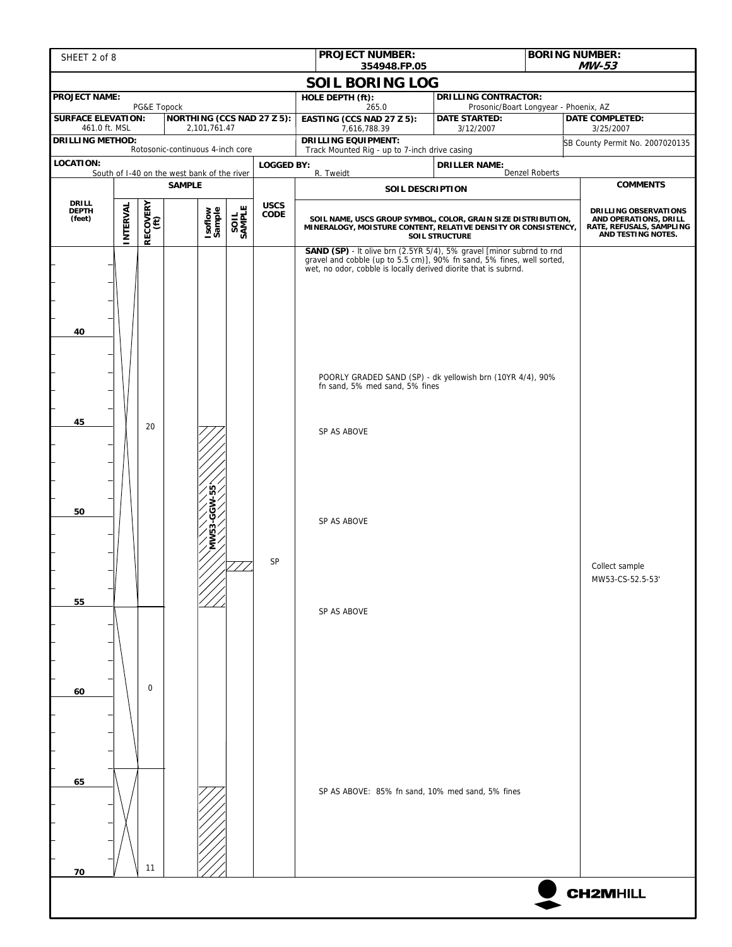| SHEET 2 of 8                               |          |                |                                                              |        |                     | <b>BORING NUMBER:</b><br><b>PROJECT NUMBER:</b><br>354948.FP.05                                                                                                                                                                                                                                                                                 |                                                                                                                                                          | MW-53                               |                                    |
|--------------------------------------------|----------|----------------|--------------------------------------------------------------|--------|---------------------|-------------------------------------------------------------------------------------------------------------------------------------------------------------------------------------------------------------------------------------------------------------------------------------------------------------------------------------------------|----------------------------------------------------------------------------------------------------------------------------------------------------------|-------------------------------------|------------------------------------|
|                                            |          |                |                                                              |        |                     | <b>SOIL BORING LOG</b>                                                                                                                                                                                                                                                                                                                          |                                                                                                                                                          |                                     |                                    |
| <b>PROJECT NAME:</b>                       |          | PG&E Topock    |                                                              |        |                     | HOLE DEPTH (ft):<br>265.0                                                                                                                                                                                                                                                                                                                       | <b>DRILLING CONTRACTOR:</b><br>Prosonic/Boart Longyear - Phoenix, AZ                                                                                     |                                     |                                    |
| <b>SURFACE ELEVATION:</b><br>461.0 ft. MSL |          |                | NORTHING (CCS NAD 27 Z 5):<br>2,101,761.47                   |        |                     | EASTING (CCS NAD 27 Z 5):<br>7,616,788.39                                                                                                                                                                                                                                                                                                       | <b>DATE STARTED:</b><br>3/12/2007                                                                                                                        | <b>DATE COMPLETED:</b><br>3/25/2007 |                                    |
| <b>DRILLING METHOD:</b>                    |          |                | Rotosonic-continuous 4-inch core                             |        |                     | <b>DRILLING EQUIPMENT:</b><br>Track Mounted Rig - up to 7-inch drive casing                                                                                                                                                                                                                                                                     |                                                                                                                                                          |                                     | SB County Permit No. 2007020135    |
| LOCATION:<br><b>LOGGED BY:</b>             |          |                |                                                              |        |                     |                                                                                                                                                                                                                                                                                                                                                 | <b>DRILLER NAME:</b>                                                                                                                                     |                                     |                                    |
|                                            |          |                | South of I-40 on the west bank of the river<br><b>SAMPLE</b> |        |                     | R. Tweidt<br>SOIL DESCRIPTION                                                                                                                                                                                                                                                                                                                   |                                                                                                                                                          | <b>Denzel Roberts</b>               | <b>COMMENTS</b>                    |
| DRILL<br><b>DEPTH</b>                      |          |                |                                                              |        | <b>USCS</b><br>CODE |                                                                                                                                                                                                                                                                                                                                                 |                                                                                                                                                          |                                     | DRILLING OBSERVATIONS              |
| (feet)                                     | INTERVAL | RECOVERY       | Isoflow<br>Sample                                            | SAMPLE |                     |                                                                                                                                                                                                                                                                                                                                                 | SOIL NAME, USCS GROUP SYMBOL, COLOR, GRAIN SIZE DISTRIBUTION,<br>MINERALOGY, MOISTURE CONTENT, RELATIVE DENSITY OR CONSISTENCY,<br><b>SOIL STRUCTURE</b> |                                     |                                    |
| 40<br>45<br>50<br>55                       |          | 20             | 55<br>-                                                      |        | SP                  | SAND (SP) - It olive brn (2.5YR 5/4), 5% gravel [minor subrnd to rnd<br>gravel and cobble (up to 5.5 cm)], 90% fn sand, 5% fines, well sorted,<br>wet, no odor, cobble is locally derived diorite that is subrnd.<br>POORLY GRADED SAND (SP) - dk yellowish brn (10YR 4/4), 90%<br>fn sand, 5% med sand, 5% fines<br>SP AS ABOVE<br>SP AS ABOVE |                                                                                                                                                          |                                     | Collect sample<br>MW53-CS-52.5-53' |
| 60<br>65<br>70                             |          | $\Omega$<br>11 |                                                              |        |                     | SP AS ABOVE<br>SP AS ABOVE: 85% fn sand, 10% med sand, 5% fines                                                                                                                                                                                                                                                                                 |                                                                                                                                                          |                                     |                                    |
|                                            |          |                |                                                              |        |                     |                                                                                                                                                                                                                                                                                                                                                 |                                                                                                                                                          |                                     | <b>CH2MHILL</b>                    |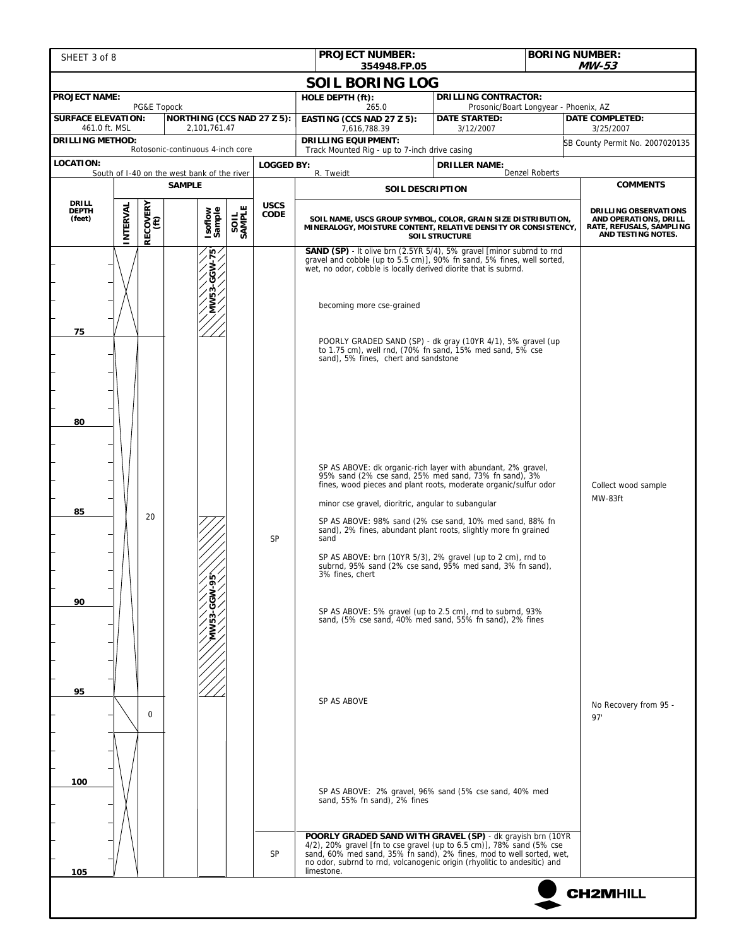| SHEET 3 of 8                             |          |                  |                                                              |        |                   | <b>BORING NUMBER:</b><br><b>PROJECT NUMBER:</b><br>$MW-53$<br>354948.FP.05                                                                                                                                                                                                                                                                                                                                                                                                                                                         |                                                                                                                                                          |                                                                 |                                              |
|------------------------------------------|----------|------------------|--------------------------------------------------------------|--------|-------------------|------------------------------------------------------------------------------------------------------------------------------------------------------------------------------------------------------------------------------------------------------------------------------------------------------------------------------------------------------------------------------------------------------------------------------------------------------------------------------------------------------------------------------------|----------------------------------------------------------------------------------------------------------------------------------------------------------|-----------------------------------------------------------------|----------------------------------------------|
|                                          |          |                  |                                                              |        |                   | <b>SOIL BORING LOG</b>                                                                                                                                                                                                                                                                                                                                                                                                                                                                                                             |                                                                                                                                                          |                                                                 |                                              |
| <b>PROJECT NAME:</b>                     |          |                  |                                                              |        |                   | HOLE DEPTH (ft):                                                                                                                                                                                                                                                                                                                                                                                                                                                                                                                   | <b>DRILLING CONTRACTOR:</b>                                                                                                                              |                                                                 |                                              |
| <b>SURFACE ELEVATION:</b>                |          | PG&E Topock      | NORTHING (CCS NAD 27 Z 5):                                   |        |                   | 265.0<br>EASTING (CCS NAD 27 Z 5):                                                                                                                                                                                                                                                                                                                                                                                                                                                                                                 | <b>DATE STARTED:</b>                                                                                                                                     | Prosonic/Boart Longyear - Phoenix, AZ<br><b>DATE COMPLETED:</b> |                                              |
| 461.0 ft. MSL<br><b>DRILLING METHOD:</b> |          |                  | 2,101,761.47                                                 |        |                   | 7,616,788.39<br><b>DRILLING EQUIPMENT:</b>                                                                                                                                                                                                                                                                                                                                                                                                                                                                                         | 3/12/2007                                                                                                                                                |                                                                 | 3/25/2007<br>SB County Permit No. 2007020135 |
| <b>LOCATION:</b>                         |          |                  | Rotosonic-continuous 4-inch core                             |        | <b>LOGGED BY:</b> | Track Mounted Rig - up to 7-inch drive casing                                                                                                                                                                                                                                                                                                                                                                                                                                                                                      | <b>DRILLER NAME:</b>                                                                                                                                     |                                                                 |                                              |
|                                          |          |                  | South of I-40 on the west bank of the river<br><b>SAMPLE</b> |        |                   | R. Tweidt                                                                                                                                                                                                                                                                                                                                                                                                                                                                                                                          |                                                                                                                                                          | <b>Denzel Roberts</b>                                           | <b>COMMENTS</b>                              |
| DRILL                                    |          |                  |                                                              |        | <b>USCS</b>       | <b>SOIL DESCRIPTION</b>                                                                                                                                                                                                                                                                                                                                                                                                                                                                                                            |                                                                                                                                                          |                                                                 |                                              |
| <b>DEPTH</b><br>(feet)                   | INTERVAL | RECOVERY<br>(ft) | Isoflow<br>Sample                                            | SAMPLE | CODE              |                                                                                                                                                                                                                                                                                                                                                                                                                                                                                                                                    | SOIL NAME, USCS GROUP SYMBOL, COLOR, GRAIN SIZE DISTRIBUTION,<br>MINERALOGY, MOISTURE CONTENT, RELATIVE DENSITY OR CONSISTENCY,<br><b>SOIL STRUCTURE</b> |                                                                 |                                              |
| 75                                       |          |                  | $\mathbf{r}$<br>MV53-GGW                                     |        |                   | SAND (SP) - It olive brn (2.5YR 5/4), 5% gravel [minor subrnd to rnd<br>gravel and cobble (up to 5.5 cm)], 90% fn sand, 5% fines, well sorted,<br>wet, no odor, cobble is locally derived diorite that is subrnd.<br>becoming more cse-grained<br>POORLY GRADED SAND (SP) - dk gray (10YR 4/1), 5% gravel (up<br>to 1.75 cm), well rnd, (70% fn sand, 15% med sand, 5% cse<br>sand), 5% fines, chert and sandstone                                                                                                                 |                                                                                                                                                          |                                                                 |                                              |
| 80<br>85                                 |          | 20               |                                                              |        | SP                | SP AS ABOVE: dk organic-rich layer with abundant, 2% gravel,<br>95% sand (2% cse sand, 25% med sand, 73% fn sand), 3%<br>fines, wood pieces and plant roots, moderate organic/sulfur odor<br>minor cse gravel, dioritric, angular to subangular<br>SP AS ABOVE: 98% sand (2% cse sand, 10% med sand, 88% fn<br>sand), 2% fines, abundant plant roots, slightly more fn grained<br>sand<br>SP AS ABOVE: brn (10YR 5/3), 2% gravel (up to 2 cm), rnd to subrnd, 95% sand (2% cse sand, 95% med sand, 3% fn sand),<br>3% fines, chert |                                                                                                                                                          |                                                                 | Collect wood sample<br>MW-83ft               |
| 90                                       |          |                  |                                                              |        |                   | SP AS ABOVE: 5% gravel (up to 2.5 cm), rnd to subrnd, 93%<br>sand, (5% cse sand, 40% med sand, 55% fn sand), 2% fines                                                                                                                                                                                                                                                                                                                                                                                                              |                                                                                                                                                          |                                                                 |                                              |
| 95                                       |          | $\Omega$         |                                                              |        |                   | SP AS ABOVE                                                                                                                                                                                                                                                                                                                                                                                                                                                                                                                        |                                                                                                                                                          |                                                                 | No Recovery from 95 -<br>97'                 |
| 100<br>105                               |          |                  |                                                              |        | SP                | SP AS ABOVE: 2% gravel, 96% sand (5% cse sand, 40% med<br>sand, 55% fn sand), 2% fines<br><b>POORLY GRADED SAND WITH GRAVEL (SP)</b> - dk grayish brn (10YR<br>4/2), 20% gravel [fn to cse gravel (up to 6.5 cm)], 78% sand (5% cse<br>sand, 60% med sand, 35% fn sand), 2% fines, mod to well sorted, wet,<br>no odor, subrnd to rnd, volcanogenic origin (rhyolitic to andesitic) and<br>limestone.                                                                                                                              |                                                                                                                                                          |                                                                 |                                              |
|                                          |          |                  |                                                              |        |                   |                                                                                                                                                                                                                                                                                                                                                                                                                                                                                                                                    |                                                                                                                                                          |                                                                 | <b>CH2MHILL</b>                              |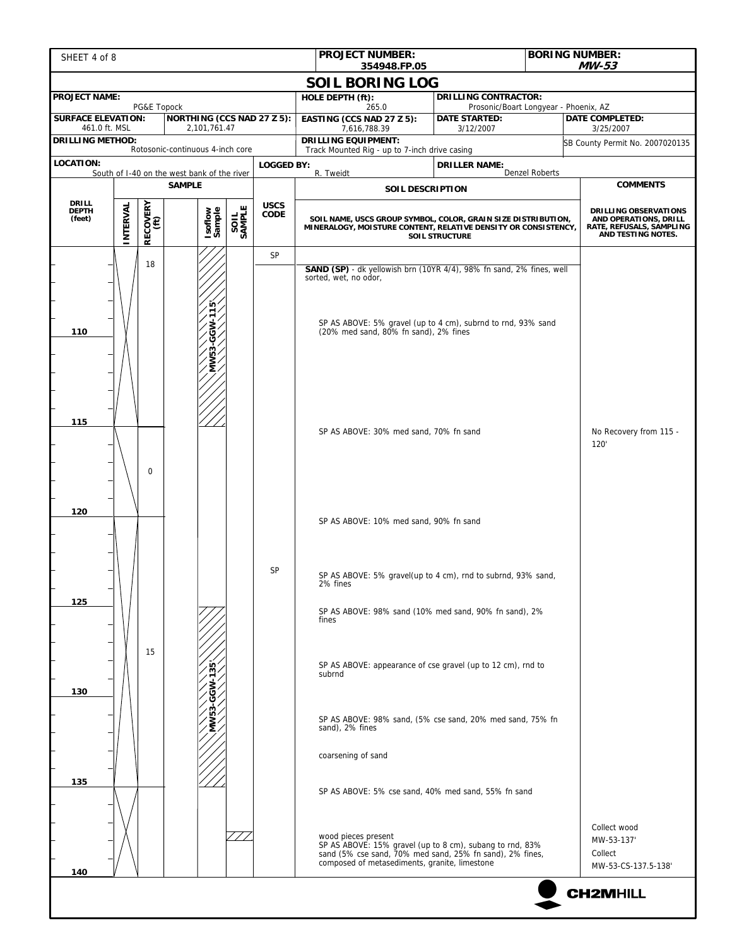| SHEET 4 of 8                                                 |          |                  |                                   |        |                   | <b>PROJECT NUMBER:</b>                                                                                                                                                                                     |                                                               | <b>BORING NUMBER:</b><br>$MW-53$                                                                        |                                                              |  |
|--------------------------------------------------------------|----------|------------------|-----------------------------------|--------|-------------------|------------------------------------------------------------------------------------------------------------------------------------------------------------------------------------------------------------|---------------------------------------------------------------|---------------------------------------------------------------------------------------------------------|--------------------------------------------------------------|--|
|                                                              |          |                  |                                   |        |                   | 354948.FP.05<br><b>SOIL BORING LOG</b>                                                                                                                                                                     |                                                               |                                                                                                         |                                                              |  |
| <b>PROJECT NAME:</b>                                         |          |                  |                                   |        |                   | HOLE DEPTH (ft):                                                                                                                                                                                           | <b>DRILLING CONTRACTOR:</b>                                   |                                                                                                         |                                                              |  |
| <b>SURFACE ELEVATION:</b>                                    |          | PG&E Topock      | <b>NORTHING (CCS NAD 27 Z 5):</b> |        |                   | 265.0<br>EASTING (CCS NAD 27 Z 5):                                                                                                                                                                         | Prosonic/Boart Longyear - Phoenix, AZ<br><b>DATE STARTED:</b> |                                                                                                         | <b>DATE COMPLETED:</b>                                       |  |
| 461.0 ft. MSL<br><b>DRILLING METHOD:</b>                     |          |                  | 2,101,761.47                      |        |                   | 7,616,788.39<br><b>DRILLING EQUIPMENT:</b>                                                                                                                                                                 | 3/12/2007                                                     |                                                                                                         | 3/25/2007<br>SB County Permit No. 2007020135                 |  |
| <b>LOCATION:</b>                                             |          |                  | Rotosonic-continuous 4-inch core  |        | <b>LOGGED BY:</b> | Track Mounted Rig - up to 7-inch drive casing                                                                                                                                                              | <b>DRILLER NAME:</b>                                          |                                                                                                         |                                                              |  |
| South of I-40 on the west bank of the river<br><b>SAMPLE</b> |          |                  |                                   |        |                   | R. Tweidt                                                                                                                                                                                                  |                                                               | <b>Denzel Roberts</b>                                                                                   | <b>COMMENTS</b>                                              |  |
| <b>DRILL</b>                                                 |          |                  |                                   |        | <b>USCS</b>       | <b>SOIL DESCRIPTION</b>                                                                                                                                                                                    |                                                               |                                                                                                         |                                                              |  |
| <b>DEPTH</b><br>(feet)                                       | INTERVAL | RECOVERY<br>(ft) | Isoflow<br>Sample                 | SAMPLE | CODE              | SOIL NAME, USCS GROUP SYMBOL, COLOR, GRAIN SIZE DISTRIBUTION,<br>MINERALOGY, MOISTURE CONTENT, RELATIVE DENSITY OR CONSISTENCY,                                                                            | <b>SOIL STRUCTURE</b>                                         | <b>DRILLING OBSERVATIONS</b><br>AND OPERATIONS, DRILL<br>RATE, REFUSALS, SAMPLING<br>AND TESTING NOTES. |                                                              |  |
|                                                              |          | 18               |                                   |        | SP                |                                                                                                                                                                                                            |                                                               |                                                                                                         |                                                              |  |
| 110                                                          |          |                  | MW53-GGW-115                      |        |                   | <b>SAND (SP)</b> - dk yellowish brn (10YR 4/4), 98% fn sand, 2% fines, well<br>sorted, wet, no odor,<br>SP AS ABOVE: 5% gravel (up to 4 cm), subrnd to rnd, 93% sand (20% med sand, 80% fn sand), 2% fines |                                                               |                                                                                                         |                                                              |  |
| 115                                                          |          | 0                |                                   |        |                   | SP AS ABOVE: 30% med sand, 70% fn sand                                                                                                                                                                     |                                                               |                                                                                                         | No Recovery from 115 -<br>120                                |  |
| 120                                                          |          |                  |                                   |        |                   | SP AS ABOVE: 10% med sand, 90% fn sand                                                                                                                                                                     |                                                               |                                                                                                         |                                                              |  |
|                                                              |          |                  |                                   |        | SP                | SP AS ABOVE: 5% gravel(up to 4 cm), rnd to subrnd, 93% sand,<br>2% tines                                                                                                                                   |                                                               |                                                                                                         |                                                              |  |
| 125                                                          |          |                  |                                   |        |                   | SP AS ABOVE: 98% sand (10% med sand, 90% fn sand), 2%<br>fines                                                                                                                                             |                                                               |                                                                                                         |                                                              |  |
| 130                                                          |          | 15               | $-135$                            |        |                   | SP AS ABOVE: appearance of cse gravel (up to 12 cm), rnd to<br>subrnd                                                                                                                                      |                                                               |                                                                                                         |                                                              |  |
|                                                              |          |                  | MMP33-GGW                         |        |                   | sand), 2% fines                                                                                                                                                                                            | SP AS ABOVE: 98% sand, (5% cse sand, 20% med sand, 75% fn     |                                                                                                         |                                                              |  |
|                                                              |          |                  |                                   |        |                   | coarsening of sand                                                                                                                                                                                         |                                                               |                                                                                                         |                                                              |  |
| 135                                                          |          |                  |                                   |        |                   | SP AS ABOVE: 5% cse sand, 40% med sand, 55% fn sand                                                                                                                                                        |                                                               |                                                                                                         |                                                              |  |
| 140                                                          |          |                  |                                   |        |                   | wood pieces present<br>SP AS ABOVE: 15% gravel (up to 8 cm), subang to rnd, 83% sand (5% cse sand, 70% med sand, 25% fn sand), 2% fines,<br>composed of metasediments, granite, limestone                  |                                                               |                                                                                                         | Collect wood<br>MW-53-137'<br>Collect<br>MW-53-CS-137.5-138' |  |
|                                                              |          |                  |                                   |        |                   |                                                                                                                                                                                                            |                                                               |                                                                                                         | <b>CH2MHILL</b>                                              |  |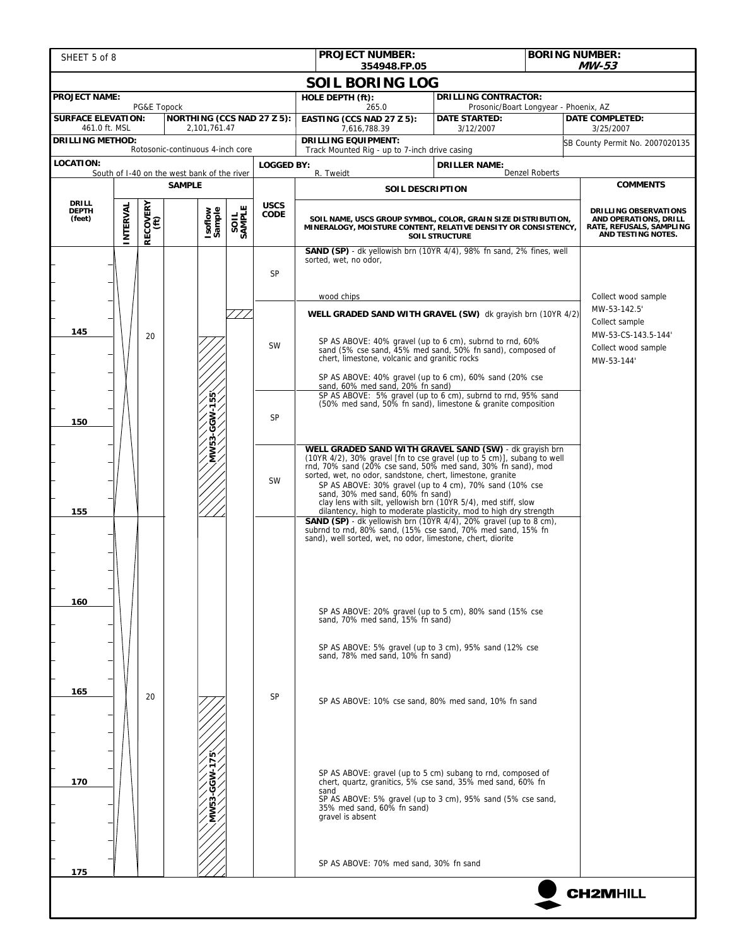| SHEET 5 of 8                             | <b>PROJECT NUMBER:</b><br><b>BORING NUMBER:</b><br>354948.FP.05 |                  |                                             |        |                            | <b>MW-53</b>                                                                                                                                                                                                                                                                                                                                                                                                                                                                                             |                                                                                                                                                                          |                |                                                                                                                   |  |
|------------------------------------------|-----------------------------------------------------------------|------------------|---------------------------------------------|--------|----------------------------|----------------------------------------------------------------------------------------------------------------------------------------------------------------------------------------------------------------------------------------------------------------------------------------------------------------------------------------------------------------------------------------------------------------------------------------------------------------------------------------------------------|--------------------------------------------------------------------------------------------------------------------------------------------------------------------------|----------------|-------------------------------------------------------------------------------------------------------------------|--|
|                                          |                                                                 |                  |                                             |        |                            | <b>SOIL BORING LOG</b>                                                                                                                                                                                                                                                                                                                                                                                                                                                                                   |                                                                                                                                                                          |                |                                                                                                                   |  |
| <b>PROJECT NAME:</b>                     |                                                                 |                  |                                             |        |                            | HOLE DEPTH (ft):                                                                                                                                                                                                                                                                                                                                                                                                                                                                                         | <b>DRILLING CONTRACTOR:</b>                                                                                                                                              |                |                                                                                                                   |  |
| <b>SURFACE ELEVATION:</b>                |                                                                 | PG&E Topock      | NORTHING (CCS NAD 27 Z 5):                  |        |                            | 265.0<br>EASTING (CCS NAD 27 Z 5):                                                                                                                                                                                                                                                                                                                                                                                                                                                                       | Prosonic/Boart Longyear - Phoenix, AZ<br><b>DATE STARTED:</b>                                                                                                            |                | <b>DATE COMPLETED:</b>                                                                                            |  |
| 461.0 ft. MSL<br><b>DRILLING METHOD:</b> |                                                                 |                  | 2,101,761.47                                |        |                            | 7,616,788.39<br><b>DRILLING EQUIPMENT:</b>                                                                                                                                                                                                                                                                                                                                                                                                                                                               | 3/12/2007                                                                                                                                                                |                | 3/25/2007<br>SB County Permit No. 2007020135                                                                      |  |
| Rotosonic-continuous 4-inch core         |                                                                 |                  |                                             |        |                            | Track Mounted Rig - up to 7-inch drive casing                                                                                                                                                                                                                                                                                                                                                                                                                                                            |                                                                                                                                                                          |                |                                                                                                                   |  |
| <b>LOCATION:</b>                         |                                                                 |                  | South of I-40 on the west bank of the river |        | <b>LOGGED BY:</b>          | R. Tweidt                                                                                                                                                                                                                                                                                                                                                                                                                                                                                                | <b>DRILLER NAME:</b>                                                                                                                                                     | Denzel Roberts | <b>COMMENTS</b>                                                                                                   |  |
|                                          |                                                                 |                  | <b>SAMPLE</b>                               |        |                            |                                                                                                                                                                                                                                                                                                                                                                                                                                                                                                          | <b>SOIL DESCRIPTION</b>                                                                                                                                                  |                |                                                                                                                   |  |
| DRILL<br><b>DEPTH</b><br>(feet)          | INTERVAL                                                        | RECOVERY<br>(ft) | Isoflow<br>Sample                           | SAMPLE | <b>USCS</b><br><b>CODE</b> | SOIL NAME, USCS GROUP SYMBOL, COLOR, GRAIN SIZE DISTRIBUTION,<br>MINERALOGY, MOISTURE CONTENT, RELATIVE DENSITY OR CONSISTENCY,                                                                                                                                                                                                                                                                                                                                                                          | <b>SOIL STRUCTURE</b>                                                                                                                                                    |                | <b>DRILLING OBSERVATIONS</b><br>AND OPERATIONS, DRILL<br>RATE, REFUSALS, SAMPLING<br>AND TESTING NOTES.           |  |
|                                          |                                                                 |                  |                                             |        | <b>SP</b>                  | <b>SAND (SP)</b> - dk yellowish brn (10YR 4/4), 98% fn sand, 2% fines, well<br>sorted, wet, no odor,                                                                                                                                                                                                                                                                                                                                                                                                     |                                                                                                                                                                          |                |                                                                                                                   |  |
| 145                                      |                                                                 | 20               |                                             |        | SW                         | wood chips<br>WELL GRADED SAND WITH GRAVEL (SW) dk grayish brn (10YR 4/2)<br>SP AS ABOVE: 40% gravel (up to 6 cm), subrnd to rnd, 60%<br>sand (5% cse sand, 45% med sand, 50% fn sand), composed of                                                                                                                                                                                                                                                                                                      |                                                                                                                                                                          |                | Collect wood sample<br>MW-53-142.5'<br>Collect sample<br>MW-53-CS-143.5-144'<br>Collect wood sample<br>MW-53-144' |  |
|                                          |                                                                 |                  |                                             |        |                            | sand, 60% med sand, 20% fn sand)                                                                                                                                                                                                                                                                                                                                                                                                                                                                         | chert, limestone, volcanic and granitic rocks<br>SP AS ABOVE: 40% gravel (up to 6 cm), 60% sand (20% cse<br>SP AS ABOVE: 5% gravel (up to 6 cm), subrnd to rnd, 95% sand |                |                                                                                                                   |  |
| 150                                      |                                                                 |                  | $-155$<br>W5G-                              |        | <b>SP</b>                  | (50% med sand, 50% fn sand), limestone & granite composition                                                                                                                                                                                                                                                                                                                                                                                                                                             |                                                                                                                                                                          |                |                                                                                                                   |  |
| 155                                      |                                                                 |                  | MW5                                         |        | <b>SW</b>                  | WELL GRADED SAND WITH GRAVEL SAND (SW) - dk grayish brn<br>$(10$ YR 4/2), 30% gravel [fn to cse gravel (up to 5 cm)], subang to well<br>rnd, 70% sand (20% cse sand, 50% med sand, 30% fn sand), mod<br>sorted, wet, no odor, sandstone, chert, limestone, granite<br>SP AS ABOVE: 30% gravel (up to 4 cm), 70% sand (10% cse<br>sand, 30% med sand, 60% fn sand)<br>clay lens with silt, yellowish brn (10YR 5/4), med stiff, slow<br>dilantency, high to moderate plasticity, mod to high dry strength |                                                                                                                                                                          |                |                                                                                                                   |  |
|                                          |                                                                 |                  |                                             |        |                            | <b>SAND (SP)</b> - dk yellowish brn (10YR 4/4), 20% gravel (up to 8 cm),<br>subrnd to rnd, 80% sand, (15% cse sand, 70% med sand, 15% fn<br>sand), well sorted, wet, no odor, limestone, chert, diorite                                                                                                                                                                                                                                                                                                  |                                                                                                                                                                          |                |                                                                                                                   |  |
| 160                                      |                                                                 |                  |                                             |        |                            | SP AS ABOVE: 20% gravel (up to 5 cm), 80% sand (15% cse<br>sand, 70% med sand, 15% fn sand)                                                                                                                                                                                                                                                                                                                                                                                                              |                                                                                                                                                                          |                |                                                                                                                   |  |
| 165                                      |                                                                 |                  |                                             |        |                            | SP AS ABOVE: 5% gravel (up to 3 cm), 95% sand (12% cse<br>sand, 78% med sand, 10% fn sand)                                                                                                                                                                                                                                                                                                                                                                                                               |                                                                                                                                                                          |                |                                                                                                                   |  |
|                                          |                                                                 | 20               |                                             |        | <b>SP</b>                  | SP AS ABOVE: 10% cse sand, 80% med sand, 10% fn sand                                                                                                                                                                                                                                                                                                                                                                                                                                                     |                                                                                                                                                                          |                |                                                                                                                   |  |
| 170                                      |                                                                 |                  |                                             |        |                            | SP AS ABOVE: gravel (up to 5 cm) subang to rnd, composed of<br>chert, quartz, granitics, 5% cse sand, 35% med sand, 60% fn<br>sand<br>SP AS ABOVE: 5% gravel (up to 3 cm), 95% sand (5% cse sand,<br>35% med sand, 60% fn sand)<br>gravel is absent                                                                                                                                                                                                                                                      |                                                                                                                                                                          |                |                                                                                                                   |  |
| 175                                      |                                                                 |                  |                                             |        |                            | SP AS ABOVE: 70% med sand, 30% fn sand                                                                                                                                                                                                                                                                                                                                                                                                                                                                   |                                                                                                                                                                          |                |                                                                                                                   |  |
|                                          |                                                                 |                  |                                             |        |                            |                                                                                                                                                                                                                                                                                                                                                                                                                                                                                                          |                                                                                                                                                                          |                | <b>CH2MHILL</b>                                                                                                   |  |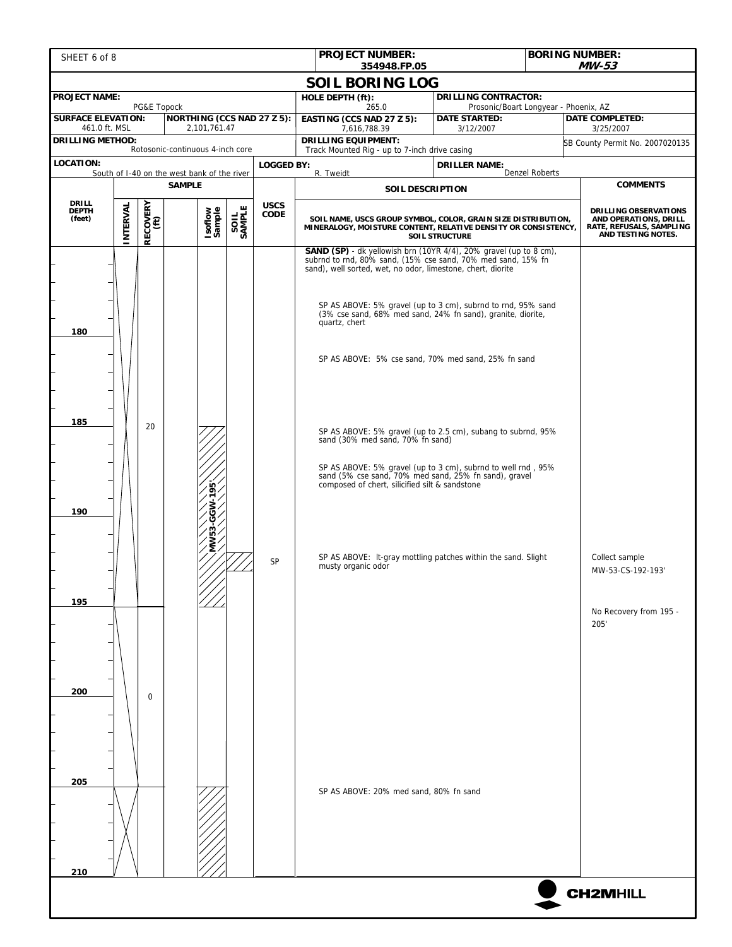| SHEET 6 of 8                                                              |          |                  |                                                              |        |             | <b>PROJECT NUMBER:</b><br>354948.FP.05                                                                                                                                                                                                                                                                                                                                                                                                  |                                                                                                                                                                                                                                                               |                                     | <b>BORING NUMBER:</b><br><b>MW-53</b>                                                            |  |
|---------------------------------------------------------------------------|----------|------------------|--------------------------------------------------------------|--------|-------------|-----------------------------------------------------------------------------------------------------------------------------------------------------------------------------------------------------------------------------------------------------------------------------------------------------------------------------------------------------------------------------------------------------------------------------------------|---------------------------------------------------------------------------------------------------------------------------------------------------------------------------------------------------------------------------------------------------------------|-------------------------------------|--------------------------------------------------------------------------------------------------|--|
|                                                                           |          |                  |                                                              |        |             | <b>SOIL BORING LOG</b>                                                                                                                                                                                                                                                                                                                                                                                                                  |                                                                                                                                                                                                                                                               |                                     |                                                                                                  |  |
| <b>PROJECT NAME:</b>                                                      |          | PG&E Topock      |                                                              |        |             | HOLE DEPTH (ft):<br>265.0                                                                                                                                                                                                                                                                                                                                                                                                               | <b>DRILLING CONTRACTOR:</b><br>Prosonic/Boart Longyear - Phoenix, AZ                                                                                                                                                                                          |                                     |                                                                                                  |  |
| <b>SURFACE ELEVATION:</b><br>461.0 ft. MSL                                |          |                  | NORTHING (CCS NAD 27 Z 5):<br>2,101,761.47                   |        |             | EASTING (CCS NAD 27 Z 5):<br>7,616,788.39                                                                                                                                                                                                                                                                                                                                                                                               | <b>DATE STARTED:</b><br>3/12/2007                                                                                                                                                                                                                             | <b>DATE COMPLETED:</b><br>3/25/2007 |                                                                                                  |  |
| <b>DRILLING METHOD:</b>                                                   |          |                  |                                                              |        |             | <b>DRILLING EQUIPMENT:</b>                                                                                                                                                                                                                                                                                                                                                                                                              |                                                                                                                                                                                                                                                               |                                     | SB County Permit No. 2007020135                                                                  |  |
| Rotosonic-continuous 4-inch core<br><b>LOCATION:</b><br><b>LOGGED BY:</b> |          |                  |                                                              |        |             | Track Mounted Rig - up to 7-inch drive casing                                                                                                                                                                                                                                                                                                                                                                                           | <b>DRILLER NAME:</b>                                                                                                                                                                                                                                          |                                     |                                                                                                  |  |
|                                                                           |          |                  | South of I-40 on the west bank of the river<br><b>SAMPLE</b> |        |             | R. Tweidt<br>SOIL DESCRIPTION                                                                                                                                                                                                                                                                                                                                                                                                           | <b>Denzel Roberts</b>                                                                                                                                                                                                                                         |                                     | <b>COMMENTS</b>                                                                                  |  |
| DRILL                                                                     |          |                  |                                                              |        | <b>USCS</b> |                                                                                                                                                                                                                                                                                                                                                                                                                                         |                                                                                                                                                                                                                                                               |                                     |                                                                                                  |  |
| <b>DEPTH</b><br>(feet)                                                    | INTERVAL | RECOVERY<br>(ft) | Isoflow<br>Sample                                            | SAMPLE | CODE        | SOIL NAME, USCS GROUP SYMBOL, COLOR, GRAIN SIZE DISTRIBUTION,<br>MINERALOGY, MOISTURE CONTENT, RELATIVE DENSITY OR CONSISTENCY,<br><b>SOIL STRUCTURE</b>                                                                                                                                                                                                                                                                                |                                                                                                                                                                                                                                                               |                                     | DRILLING OBSERVATIONS<br>AND OPERATIONS, DRILL<br>RATE, REFUSALS, SAMPLING<br>AND TESTING NOTES. |  |
| 180<br>185<br>190<br>195                                                  |          | 20               | 95<br>MW5                                                    |        | SP          | subrnd to rnd, 80% sand, (15% cse sand, 70% med sand, 15% fn<br>sand), well sorted, wet, no odor, limestone, chert, diorite<br>(3% cse sand, 68% med sand, 24% fn sand), granite, diorite,<br>quartz, chert<br>SP AS ABOVE: 5% cse sand, 70% med sand, 25% fn sand<br>sand (30% med sand, 70% fn sand)<br>sand (5% cse sand, 70% med sand, 25% fn sand), gravel<br>composed of chert, silicified silt & sandstone<br>musty organic odor | SP AS ABOVE: 5% gravel (up to 3 cm), subrnd to rnd, 95% sand<br>SP AS ABOVE: 5% gravel (up to 2.5 cm), subang to subrnd, 95%<br>SP AS ABOVE: 5% gravel (up to 3 cm), subrnd to well rnd, 95%<br>SP AS ABOVE: It-gray mottling patches within the sand. Slight |                                     | Collect sample<br>MW-53-CS-192-193'                                                              |  |
| 200<br>205<br>210                                                         |          | $\Omega$         |                                                              |        |             | SP AS ABOVE: 20% med sand, 80% fn sand                                                                                                                                                                                                                                                                                                                                                                                                  |                                                                                                                                                                                                                                                               |                                     | No Recovery from 195 -<br>205'                                                                   |  |
|                                                                           |          |                  |                                                              |        |             |                                                                                                                                                                                                                                                                                                                                                                                                                                         |                                                                                                                                                                                                                                                               |                                     | <b>CH2MHILL</b>                                                                                  |  |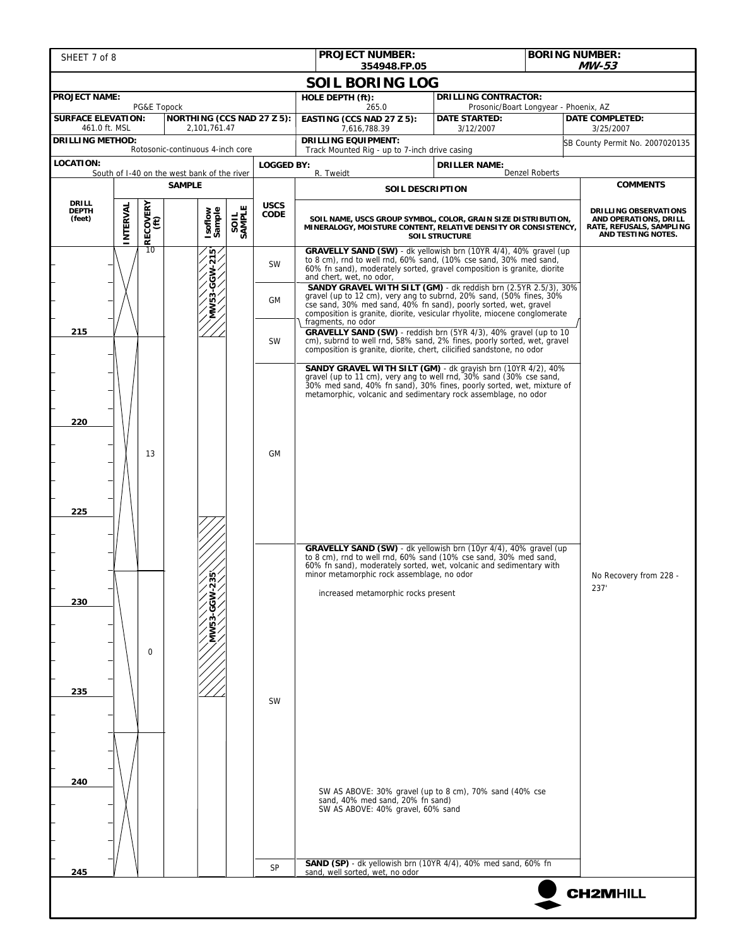| SHEET 7 of 8                                             |               |                        |                                  |               |                            | <b>PROJECT NUMBER:</b><br>354948.FP.05                                                                                                                                                                                                                                                  |                                                               | <b>BORING NUMBER:</b><br><b>MW-53</b>                                                                                                                                                                                                        |                                                                                                         |  |                                                                                                                                                                                                                                                                                                  |  |  |
|----------------------------------------------------------|---------------|------------------------|----------------------------------|---------------|----------------------------|-----------------------------------------------------------------------------------------------------------------------------------------------------------------------------------------------------------------------------------------------------------------------------------------|---------------------------------------------------------------|----------------------------------------------------------------------------------------------------------------------------------------------------------------------------------------------------------------------------------------------|---------------------------------------------------------------------------------------------------------|--|--------------------------------------------------------------------------------------------------------------------------------------------------------------------------------------------------------------------------------------------------------------------------------------------------|--|--|
|                                                          |               |                        |                                  |               |                            | <b>SOIL BORING LOG</b>                                                                                                                                                                                                                                                                  |                                                               |                                                                                                                                                                                                                                              |                                                                                                         |  |                                                                                                                                                                                                                                                                                                  |  |  |
| <b>PROJECT NAME:</b>                                     |               |                        |                                  |               |                            | HOLE DEPTH (ft):                                                                                                                                                                                                                                                                        | <b>DRILLING CONTRACTOR:</b>                                   |                                                                                                                                                                                                                                              |                                                                                                         |  |                                                                                                                                                                                                                                                                                                  |  |  |
| <b>SURFACE ELEVATION:</b>                                |               | PG&E Topock            | NORTHING (CCS NAD 27 Z 5):       |               |                            | 265.0<br>EASTING (CCS NAD 27 Z 5):                                                                                                                                                                                                                                                      | Prosonic/Boart Longyear - Phoenix, AZ<br><b>DATE STARTED:</b> |                                                                                                                                                                                                                                              | <b>DATE COMPLETED:</b>                                                                                  |  |                                                                                                                                                                                                                                                                                                  |  |  |
| 461.0 ft. MSL<br><b>DRILLING METHOD:</b>                 |               |                        | 2,101,761.47                     |               |                            | 7,616,788.39<br><b>DRILLING EQUIPMENT:</b>                                                                                                                                                                                                                                              | 3/12/2007                                                     |                                                                                                                                                                                                                                              | 3/25/2007                                                                                               |  |                                                                                                                                                                                                                                                                                                  |  |  |
|                                                          |               |                        | Rotosonic-continuous 4-inch core |               |                            | Track Mounted Rig - up to 7-inch drive casing                                                                                                                                                                                                                                           |                                                               |                                                                                                                                                                                                                                              | SB County Permit No. 2007020135                                                                         |  |                                                                                                                                                                                                                                                                                                  |  |  |
| LOCATION:<br>South of I-40 on the west bank of the river |               |                        |                                  |               | <b>LOGGED BY:</b>          | R. Tweidt                                                                                                                                                                                                                                                                               | <b>DRILLER NAME:</b>                                          | <b>Denzel Roberts</b>                                                                                                                                                                                                                        |                                                                                                         |  |                                                                                                                                                                                                                                                                                                  |  |  |
|                                                          | <b>SAMPLE</b> |                        |                                  |               |                            | <b>SOIL DESCRIPTION</b>                                                                                                                                                                                                                                                                 |                                                               |                                                                                                                                                                                                                                              | <b>COMMENTS</b>                                                                                         |  |                                                                                                                                                                                                                                                                                                  |  |  |
| <b>DRILL</b><br><b>DEPTH</b><br>(feet)                   | INTERVAL      | $\frac{1}{2}$ RECOVERY | Isoflow<br>Sample                | SAMPLE        | <b>USCS</b><br><b>CODE</b> | SOIL NAME, USCS GROUP SYMBOL, COLOR, GRAIN SIZE DISTRIBUTION,<br>MINERALOGY, MOISTURE CONTENT, RELATIVE DENSITY OR CONSISTENCY,                                                                                                                                                         | <b>SOIL STRUCTURE</b>                                         |                                                                                                                                                                                                                                              | <b>DRILLING OBSERVATIONS</b><br>AND OPERATIONS, DRILL<br>RATE, REFUSALS, SAMPLING<br>AND TESTING NOTES. |  |                                                                                                                                                                                                                                                                                                  |  |  |
|                                                          |               |                        |                                  |               | ∕ ¤آ                       |                                                                                                                                                                                                                                                                                         | <b>SW</b>                                                     | GRAVELLY SAND (SW) - dk yellowish brn (10YR 4/4), 40% gravel (up<br>to 8 cm), rnd to well rnd, 60% sand, (10% cse sand, 30% med sand,<br>60% fn sand), moderately sorted, gravel composition is granite, diorite<br>and chert, wet, no odor, |                                                                                                         |  |                                                                                                                                                                                                                                                                                                  |  |  |
|                                                          |               |                        |                                  | $MWS3-GGW-21$ |                            | SANDY GRAVEL WITH SILT (GM) - dk reddish brn (2.5YR 2.5/3), 30%<br>gravel (up to 12 cm), very ang to subrnd, 20% sand, (50% fines, 30%<br>cse sand, 30% med sand, 40% fn sand), poorly sorted, wet, gravel<br>composition is granite, diorite, vesicular rhyolite, miocene conglomerate |                                                               |                                                                                                                                                                                                                                              |                                                                                                         |  |                                                                                                                                                                                                                                                                                                  |  |  |
| 215                                                      |               |                        |                                  |               | <b>SW</b>                  | fragments, no odor<br>GRAVELLY SAND (SW) - reddish brn (5YR 4/3), 40% gravel (up to 10<br>cm), subrnd to well rnd, 58% sand, 2% fines, poorly sorted, wet, gravel<br>composition is granite, diorite, chert, cilicified sandstone, no odor                                              |                                                               |                                                                                                                                                                                                                                              |                                                                                                         |  |                                                                                                                                                                                                                                                                                                  |  |  |
| 220<br>225                                               |               | 13<br>$\Omega$         |                                  |               | GМ                         | <b>SANDY GRAVEL WITH SILT (GM)</b> - dk grayish brn (10YR 4/2), 40%<br>gravel (up to 11 cm), very ang to well rnd, 30% sand (30% cse sand,<br>30% med sand, 40% fn sand), 30% fines, poorly sorted, wet, mixture of<br>metamorphic, volcanic and sedimentary rock assemblage, no odor   |                                                               |                                                                                                                                                                                                                                              |                                                                                                         |  |                                                                                                                                                                                                                                                                                                  |  |  |
| 230                                                      |               |                        |                                  |               |                            |                                                                                                                                                                                                                                                                                         | ю<br>$\sim$                                                   |                                                                                                                                                                                                                                              |                                                                                                         |  | GRAVELLY SAND (SW) - dk yellowish brn (10yr 4/4), 40% gravel (up<br>to 8 cm), rnd to well rnd, 60% sand (10% cse sand, 30% med sand,<br>60% fn sand), moderately sorted, wet, volcanic and sedimentary with<br>minor metamorphic rock assemblage, no odor<br>increased metamorphic rocks present |  |  |
| 235                                                      |               |                        |                                  |               | <b>SW</b>                  |                                                                                                                                                                                                                                                                                         |                                                               |                                                                                                                                                                                                                                              |                                                                                                         |  |                                                                                                                                                                                                                                                                                                  |  |  |
| 240                                                      |               |                        |                                  |               |                            | SW AS ABOVE: 30% gravel (up to 8 cm), 70% sand (40% cse<br>sand, 40% med sand, 20% fn sand)<br>SW AS ABOVE: 40% gravel, 60% sand                                                                                                                                                        |                                                               |                                                                                                                                                                                                                                              |                                                                                                         |  |                                                                                                                                                                                                                                                                                                  |  |  |
| 245                                                      |               |                        |                                  |               | SP                         | SAND (SP) - dk yellowish brn (10YR 4/4), 40% med sand, 60% fn<br>sand, well sorted, wet, no odor                                                                                                                                                                                        |                                                               |                                                                                                                                                                                                                                              |                                                                                                         |  |                                                                                                                                                                                                                                                                                                  |  |  |
|                                                          |               |                        |                                  |               |                            |                                                                                                                                                                                                                                                                                         |                                                               |                                                                                                                                                                                                                                              | <b>CH2MHILL</b>                                                                                         |  |                                                                                                                                                                                                                                                                                                  |  |  |